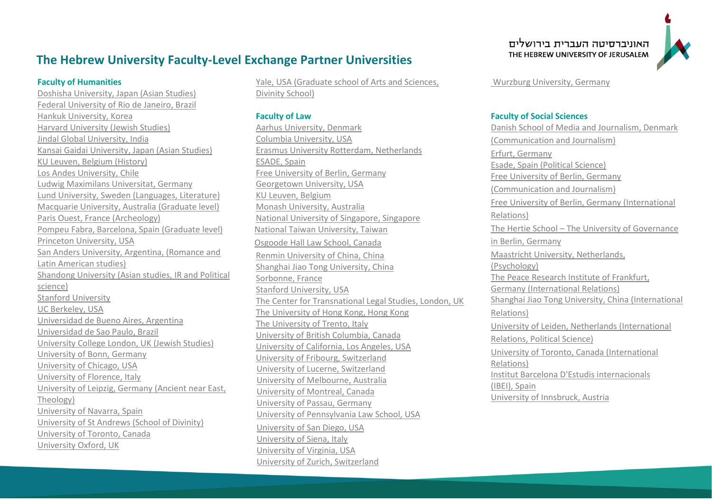# **The Hebrew University Faculty-Level Exchange Partner Universities**

#### **Faculty of Humanities**

[Doshisha University, Japan](https://www.doshisha.ac.jp/en/) (Asian Studies) [Federal University of Rio de Janeiro,](http://www.ufrj.br/) Brazil Hankuk University, Korea [Harvard University \(Jewish Studies\)](https://cjs.fas.harvard.edu/) [Jindal Global University, India](https://jgu.edu.in/) [Kansai Gaidai University,](http://www.kansaigaidai.ac.jp/asp/02_international_programs/03.html) Japan (Asian Studies) [KU Leuven,](https://www.kuleuven.be/english/admissions/exchange) Belgium (History) Los [Andes University, Chile](https://www.uandes.cl/) [Ludwig Maximilans Universitat,](http://www.en.uni-muenchen.de/about_lmu/contact/int_office/index.html) Germany [Lund University,](http://www.lunduniversity.lu.se/international-admissions/exchange-and-study-abroad) Sweden (Languages, Literature) [Macquarie University,](http://www.mq.edu.au/research/phd-and-research-degrees/research-training/master-of-research-exchange) Australia (Graduate level) [Paris Ouest,](https://www.u-paris10.fr/international/international-students-362013.kjsp) France (Archeology) [Pompeu Fabra,](https://www.upf.edu/incoming/) Barcelona, Spain (Graduate level) Princeton University, USA San Anders University, Argentina, (Romance and Latin American studies) [Shandong University](http://en.sdu.edu.cn/) (Asian studies, IR and Political science) [Stanford University](http://shc.stanford.edu/) [UC Berkeley, USA](https://internationaloffice.berkeley.edu/students/exchange) Universidad de Bueno Aires, Argentina [Universidad de Sao Paulo,](http://www5.usp.br/english/?lang=en) Brazil [University College London,](http://www.ucl.ac.uk/) UK (Jewish Studies) [University of Bonn,](https://www.uni-bonn.de/studying/international-students) Germany [University of Chicago, USA](https://humanities.uchicago.edu/) University of Florence, Italy [University of Leipzig,](https://www.zv.uni-leipzig.de/en/study/international-study.html) Germany (Ancient near East, Theology) University of Navarra, Spain [University of St Andrews \(School of Divinity\)](https://www.st-andrews.ac.uk/) [University of Toronto, Canada](https://www.utoronto.ca/) [University Oxford, UK](http://www.ox.ac.uk/)

[Yale, USA \(Graduate school of Arts and Sciences,](https://divinity.yale.edu/)  [Divinity School\)](https://divinity.yale.edu/)

### **Faculty of Law**

[Aarhus University,](http://bss.au.dk/education/international-students/exchange-students/) Denmark [Columbia University, USA](http://web.law.columbia.edu/international-programs/study-abroad-programs/semester-study-abroad) [Erasmus University Rotterdam, Netherlands](https://www.eur.nl/en) [ESADE,](http://www.esade.edu/page/eng/law) Spain [Free University of Berlin,](http://www.fu-berlin.de/en/studium/international/studium_fu/auslandssemester/direktaustausch_in/) Germany [Georgetown University, USA](https://www.law.georgetown.edu/academics/academic-programs/transnational-programs/study-abroad/index.cfm) [KU Leuven, Belgium](https://www.law.kuleuven.be/faculty) [Monash University,](https://www.monash.edu/study-abroad/outbound/exchange) Australia [National University of Singapore,](http://law.nus.edu.sg/student_matters/student_ex.html) Singapore [National Taiwan University, Taiwan](http://www.law.ntu.edu.tw/main.php?mod=adv_custom_page&func=show_page&site_id=1&page_id=190) [Osgoode Hall Law School, Canada](https://www.osgoode.yorku.ca/) [Renmin University of China,](http://www.law.ruc.edu.cn/eng/Program/?unit=Why%20Study%20at%20Renmin%20Law%20School) China [Shanghai Jiao Tong University,](http://law.sjtu.edu.cn/International/Article120603.aspx) China Sorbonne, France [Stanford University, USA](https://law.stanford.edu/education/only-at-sls/global-initiative/foreign-legal-studies-program/program-information/) [The Center for Transnational Legal Studies,](http://ctls.georgetown.edu/academics.cfm) London, UK [The University of Hong Kong,](https://www.law.hku.hk/prospectivestudents/incoming.php) Hong Kong [The University of Trento,](http://web.unitn.it/en/incoming/38076/bilateral-agreements) Italy [University of British Columbia,](http://www.allard.ubc.ca/exchange-opportunities) Canada [University of California, Los Angeles, USA](https://law.ucla.edu/academics/flsep/for-ucla-law-students/) [University of Fribourg, Switzerland](https://www3.unifr.ch/ius/llm/en/) University of Lucerne, Switzerland [University of Melbourne,](http://law.unimelb.edu.au/students/jd/enrichment/international-opportunities/student-exchange) Australia [University of Montreal, Canada](https://droit.umontreal.ca/en/home/) [University of Passau,](http://www.uni-passau.de/en/international/coming-to-passau/information-for-new-students/applications/exchange-students/) Germany [University of Pennsylvania Law School, USA](https://www.law.upenn.edu/) [University of San Diego, USA](https://www.sandiego.edu/law/study-abroad/semester/) [University of Siena, Italy](https://en.unisi.it/departments/department-law) University [of Virginia, USA](https://issp.virginia.edu/exchange-students) [University of Zurich,](http://www.llm-guide.com/university/796/university-of-zurich-universitaet-zuerich-faculty-of-law) Switzerland

האוניברסיטה העברית בירושלים THE HEBREW UNIVERSITY OF JERUSALEM



[Wurzburg University, Germany](https://www.uni-wuerzburg.de/en/universitaet/) 

# **Faculty of Social Sciences**

[Danish School of Media and Journalism,](http://www.dmjx.dk/international) Denmark (Communication and Journalism) Erfurt, Germany [Esade, Spain \(Political Science\)](https://www.esade.edu/en) [Free University of Berlin, Germany](http://www.polsoz.fu-berlin.de/kommwiss/studium/auslandsstudium/erfahrungsberichte/index.html)  [\(Communication and Journalism\)](http://www.polsoz.fu-berlin.de/kommwiss/studium/auslandsstudium/erfahrungsberichte/index.html) [Free University of Berlin, Germany \(International](http://www.masterib.de/ausland/index.html)  [Relations\)](http://www.masterib.de/ausland/index.html) The Hertie School – [The University of Governance](https://www.hertie-school.org/en/)  [in Berlin, Germany](https://www.hertie-school.org/en/) [Maastricht University, Netherlands,](https://www.maastrichtuniversity.nl/) (Psychology) The [Peace Research Institute of Frankfurt,](http://hsfk.de/PRIF.13.0.html?&no_cache=1&L=1) Germany (International Relations) [Shanghai Jiao Tong University,](http://en.sjtu.edu.cn/) China (International Relations) [University of Leiden,](http://hum.leiden.edu/international-studies/discretionary-space/studyabroad/choosing-to-go/study-abroad-options.html) Netherlands (International Relations, Political Science) [University of Toronto,](http://www.artsci.utoronto.ca/current/focus/focus/international-opportunities) Canada (International Relations) [Institut Barcelona D'Estudis internacionals](http://www.ibei.org/en)  [\(IBEI\),](http://www.ibei.org/en) Spain University of Innsbruck, Austria